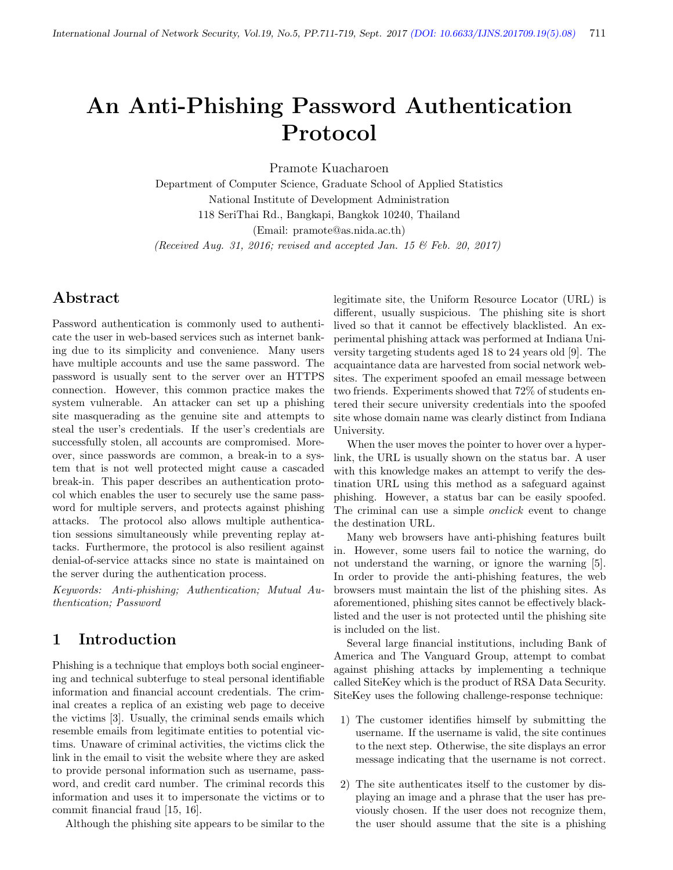# An Anti-Phishing Password Authentication Protocol

Pramote Kuacharoen

Department of Computer Science, Graduate School of Applied Statistics National Institute of Development Administration 118 SeriThai Rd., Bangkapi, Bangkok 10240, Thailand (Email: pramote@as.nida.ac.th) (Received Aug. 31, 2016; revised and accepted Jan. 15 & Feb. 20, 2017)

# Abstract

Password authentication is commonly used to authenticate the user in web-based services such as internet banking due to its simplicity and convenience. Many users have multiple accounts and use the same password. The password is usually sent to the server over an HTTPS connection. However, this common practice makes the system vulnerable. An attacker can set up a phishing site masquerading as the genuine site and attempts to steal the user's credentials. If the user's credentials are successfully stolen, all accounts are compromised. Moreover, since passwords are common, a break-in to a system that is not well protected might cause a cascaded break-in. This paper describes an authentication protocol which enables the user to securely use the same password for multiple servers, and protects against phishing attacks. The protocol also allows multiple authentication sessions simultaneously while preventing replay attacks. Furthermore, the protocol is also resilient against denial-of-service attacks since no state is maintained on the server during the authentication process.

Keywords: Anti-phishing; Authentication; Mutual Authentication; Password

# 1 Introduction

Phishing is a technique that employs both social engineering and technical subterfuge to steal personal identifiable information and financial account credentials. The criminal creates a replica of an existing web page to deceive the victims [3]. Usually, the criminal sends emails which resemble emails from legitimate entities to potential victims. Unaware of criminal activities, the victims click the link in the email to visit the website where they are asked to provide personal information such as username, password, and credit card number. The criminal records this information and uses it to impersonate the victims or to commit financial fraud [15, 16].

Although the phishing site appears to be similar to the

legitimate site, the Uniform Resource Locator (URL) is different, usually suspicious. The phishing site is short lived so that it cannot be effectively blacklisted. An experimental phishing attack was performed at Indiana University targeting students aged 18 to 24 years old [9]. The acquaintance data are harvested from social network websites. The experiment spoofed an email message between two friends. Experiments showed that 72% of students entered their secure university credentials into the spoofed site whose domain name was clearly distinct from Indiana University.

When the user moves the pointer to hover over a hyperlink, the URL is usually shown on the status bar. A user with this knowledge makes an attempt to verify the destination URL using this method as a safeguard against phishing. However, a status bar can be easily spoofed. The criminal can use a simple *onclick* event to change the destination URL.

Many web browsers have anti-phishing features built in. However, some users fail to notice the warning, do not understand the warning, or ignore the warning [5]. In order to provide the anti-phishing features, the web browsers must maintain the list of the phishing sites. As aforementioned, phishing sites cannot be effectively blacklisted and the user is not protected until the phishing site is included on the list.

Several large financial institutions, including Bank of America and The Vanguard Group, attempt to combat against phishing attacks by implementing a technique called SiteKey which is the product of RSA Data Security. SiteKey uses the following challenge-response technique:

- 1) The customer identifies himself by submitting the username. If the username is valid, the site continues to the next step. Otherwise, the site displays an error message indicating that the username is not correct.
- 2) The site authenticates itself to the customer by displaying an image and a phrase that the user has previously chosen. If the user does not recognize them, the user should assume that the site is a phishing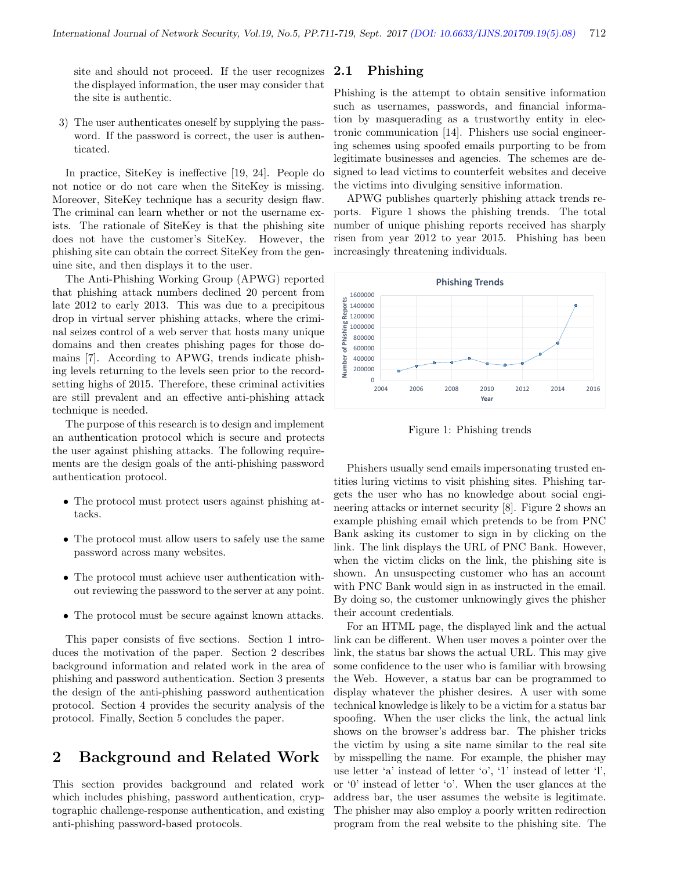site and should not proceed. If the user recognizes the displayed information, the user may consider that the site is authentic.

3) The user authenticates oneself by supplying the password. If the password is correct, the user is authenticated.

In practice, SiteKey is ineffective [19, 24]. People do not notice or do not care when the SiteKey is missing. Moreover, SiteKey technique has a security design flaw. The criminal can learn whether or not the username exists. The rationale of SiteKey is that the phishing site does not have the customer's SiteKey. However, the phishing site can obtain the correct SiteKey from the genuine site, and then displays it to the user.

The Anti-Phishing Working Group (APWG) reported that phishing attack numbers declined 20 percent from late 2012 to early 2013. This was due to a precipitous drop in virtual server phishing attacks, where the criminal seizes control of a web server that hosts many unique domains and then creates phishing pages for those domains [7]. According to APWG, trends indicate phishing levels returning to the levels seen prior to the recordsetting highs of 2015. Therefore, these criminal activities are still prevalent and an effective anti-phishing attack technique is needed.

The purpose of this research is to design and implement an authentication protocol which is secure and protects the user against phishing attacks. The following requirements are the design goals of the anti-phishing password authentication protocol.

- The protocol must protect users against phishing attacks.
- The protocol must allow users to safely use the same password across many websites.
- The protocol must achieve user authentication without reviewing the password to the server at any point.
- The protocol must be secure against known attacks.

This paper consists of five sections. Section 1 introduces the motivation of the paper. Section 2 describes background information and related work in the area of phishing and password authentication. Section 3 presents the design of the anti-phishing password authentication protocol. Section 4 provides the security analysis of the protocol. Finally, Section 5 concludes the paper.

# 2 Background and Related Work

This section provides background and related work which includes phishing, password authentication, cryptographic challenge-response authentication, and existing anti-phishing password-based protocols.

### 2.1 Phishing

Phishing is the attempt to obtain sensitive information such as usernames, passwords, and financial information by masquerading as a trustworthy entity in electronic communication [14]. Phishers use social engineering schemes using spoofed emails purporting to be from legitimate businesses and agencies. The schemes are designed to lead victims to counterfeit websites and deceive the victims into divulging sensitive information.

APWG publishes quarterly phishing attack trends reports. Figure 1 shows the phishing trends. The total number of unique phishing reports received has sharply risen from year 2012 to year 2015. Phishing has been increasingly threatening individuals.



Figure 1: Phishing trends

Phishers usually send emails impersonating trusted entities luring victims to visit phishing sites. Phishing targets the user who has no knowledge about social engineering attacks or internet security [8]. Figure 2 shows an example phishing email which pretends to be from PNC Bank asking its customer to sign in by clicking on the link. The link displays the URL of PNC Bank. However, when the victim clicks on the link, the phishing site is shown. An unsuspecting customer who has an account with PNC Bank would sign in as instructed in the email. By doing so, the customer unknowingly gives the phisher their account credentials.

For an HTML page, the displayed link and the actual link can be different. When user moves a pointer over the link, the status bar shows the actual URL. This may give some confidence to the user who is familiar with browsing the Web. However, a status bar can be programmed to display whatever the phisher desires. A user with some technical knowledge is likely to be a victim for a status bar spoofing. When the user clicks the link, the actual link shows on the browser's address bar. The phisher tricks the victim by using a site name similar to the real site by misspelling the name. For example, the phisher may use letter 'a' instead of letter 'o', '1' instead of letter 'l', or '0' instead of letter 'o'. When the user glances at the address bar, the user assumes the website is legitimate. The phisher may also employ a poorly written redirection program from the real website to the phishing site. The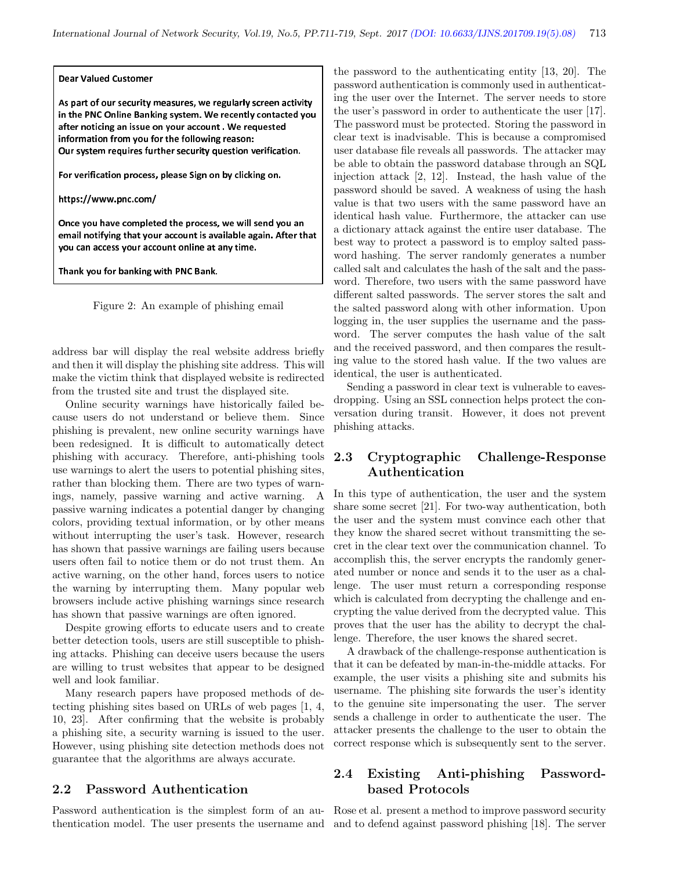#### Dear Valued Customer

As part of our security measures, we regularly screen activity in the PNC Online Banking system. We recently contacted you after noticing an issue on vour account. We requested information from you for the following reason: Our system requires further security question verification.

For verification process, please Sign on by clicking on.

https://www.pnc.com/

Once vou have completed the process, we will send vou an email notifying that your account is available again. After that vou can access vour account online at any time.

Thank vou for banking with PNC Bank.

Figure 2: An example of phishing email

address bar will display the real website address briefly and then it will display the phishing site address. This will make the victim think that displayed website is redirected from the trusted site and trust the displayed site.

Online security warnings have historically failed because users do not understand or believe them. Since phishing is prevalent, new online security warnings have been redesigned. It is difficult to automatically detect phishing with accuracy. Therefore, anti-phishing tools use warnings to alert the users to potential phishing sites, rather than blocking them. There are two types of warnings, namely, passive warning and active warning. A passive warning indicates a potential danger by changing colors, providing textual information, or by other means without interrupting the user's task. However, research has shown that passive warnings are failing users because users often fail to notice them or do not trust them. An active warning, on the other hand, forces users to notice the warning by interrupting them. Many popular web browsers include active phishing warnings since research has shown that passive warnings are often ignored.

Despite growing efforts to educate users and to create better detection tools, users are still susceptible to phishing attacks. Phishing can deceive users because the users are willing to trust websites that appear to be designed well and look familiar.

Many research papers have proposed methods of detecting phishing sites based on URLs of web pages [1, 4, 10, 23]. After confirming that the website is probably a phishing site, a security warning is issued to the user. However, using phishing site detection methods does not guarantee that the algorithms are always accurate.

### 2.2 Password Authentication

thentication model. The user presents the username and and to defend against password phishing [18]. The server

the password to the authenticating entity [13, 20]. The password authentication is commonly used in authenticating the user over the Internet. The server needs to store the user's password in order to authenticate the user [17]. The password must be protected. Storing the password in clear text is inadvisable. This is because a compromised user database file reveals all passwords. The attacker may be able to obtain the password database through an SQL injection attack [2, 12]. Instead, the hash value of the password should be saved. A weakness of using the hash value is that two users with the same password have an identical hash value. Furthermore, the attacker can use a dictionary attack against the entire user database. The best way to protect a password is to employ salted password hashing. The server randomly generates a number called salt and calculates the hash of the salt and the password. Therefore, two users with the same password have different salted passwords. The server stores the salt and the salted password along with other information. Upon logging in, the user supplies the username and the password. The server computes the hash value of the salt and the received password, and then compares the resulting value to the stored hash value. If the two values are identical, the user is authenticated.

Sending a password in clear text is vulnerable to eavesdropping. Using an SSL connection helps protect the conversation during transit. However, it does not prevent phishing attacks.

### 2.3 Cryptographic Challenge-Response Authentication

In this type of authentication, the user and the system share some secret [21]. For two-way authentication, both the user and the system must convince each other that they know the shared secret without transmitting the secret in the clear text over the communication channel. To accomplish this, the server encrypts the randomly generated number or nonce and sends it to the user as a challenge. The user must return a corresponding response which is calculated from decrypting the challenge and encrypting the value derived from the decrypted value. This proves that the user has the ability to decrypt the challenge. Therefore, the user knows the shared secret.

A drawback of the challenge-response authentication is that it can be defeated by man-in-the-middle attacks. For example, the user visits a phishing site and submits his username. The phishing site forwards the user's identity to the genuine site impersonating the user. The server sends a challenge in order to authenticate the user. The attacker presents the challenge to the user to obtain the correct response which is subsequently sent to the server.

### 2.4 Existing Anti-phishing Passwordbased Protocols

Password authentication is the simplest form of an au-Rose et al. present a method to improve password security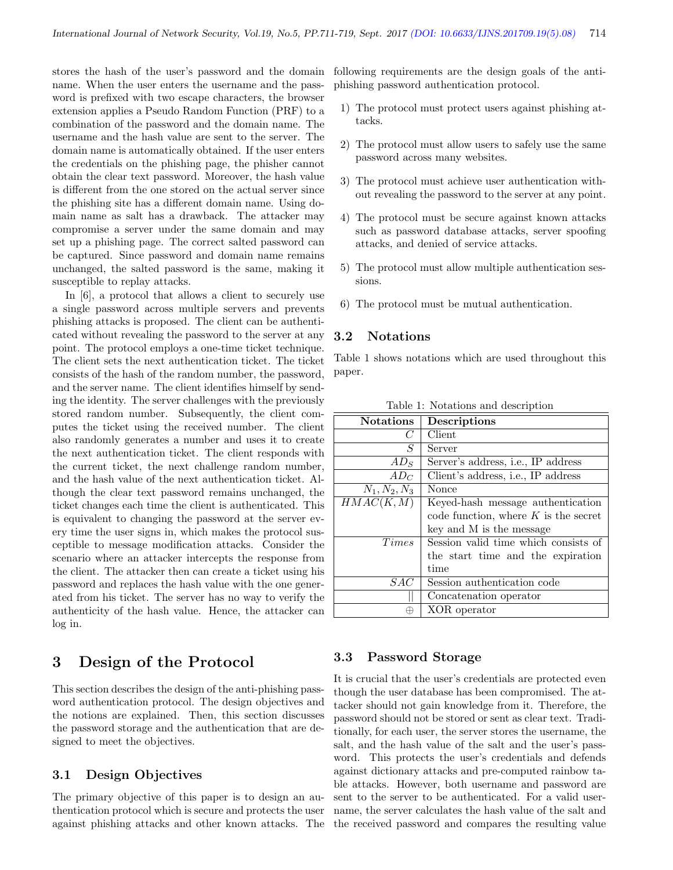stores the hash of the user's password and the domain name. When the user enters the username and the password is prefixed with two escape characters, the browser extension applies a Pseudo Random Function (PRF) to a combination of the password and the domain name. The username and the hash value are sent to the server. The domain name is automatically obtained. If the user enters the credentials on the phishing page, the phisher cannot obtain the clear text password. Moreover, the hash value is different from the one stored on the actual server since the phishing site has a different domain name. Using domain name as salt has a drawback. The attacker may compromise a server under the same domain and may set up a phishing page. The correct salted password can be captured. Since password and domain name remains unchanged, the salted password is the same, making it susceptible to replay attacks.

In [6], a protocol that allows a client to securely use a single password across multiple servers and prevents phishing attacks is proposed. The client can be authenticated without revealing the password to the server at any point. The protocol employs a one-time ticket technique. The client sets the next authentication ticket. The ticket consists of the hash of the random number, the password, and the server name. The client identifies himself by sending the identity. The server challenges with the previously stored random number. Subsequently, the client computes the ticket using the received number. The client also randomly generates a number and uses it to create the next authentication ticket. The client responds with the current ticket, the next challenge random number, and the hash value of the next authentication ticket. Although the clear text password remains unchanged, the ticket changes each time the client is authenticated. This is equivalent to changing the password at the server every time the user signs in, which makes the protocol susceptible to message modification attacks. Consider the scenario where an attacker intercepts the response from the client. The attacker then can create a ticket using his password and replaces the hash value with the one generated from his ticket. The server has no way to verify the authenticity of the hash value. Hence, the attacker can log in.

## 3 Design of the Protocol

This section describes the design of the anti-phishing password authentication protocol. The design objectives and the notions are explained. Then, this section discusses the password storage and the authentication that are designed to meet the objectives.

### 3.1 Design Objectives

The primary objective of this paper is to design an authentication protocol which is secure and protects the user against phishing attacks and other known attacks. The following requirements are the design goals of the antiphishing password authentication protocol.

- 1) The protocol must protect users against phishing attacks.
- 2) The protocol must allow users to safely use the same password across many websites.
- 3) The protocol must achieve user authentication without revealing the password to the server at any point.
- 4) The protocol must be secure against known attacks such as password database attacks, server spoofing attacks, and denied of service attacks.
- 5) The protocol must allow multiple authentication sessions.
- 6) The protocol must be mutual authentication.

### 3.2 Notations

Table 1 shows notations which are used throughout this paper.

| <b>Notations</b> | Descriptions                               |
|------------------|--------------------------------------------|
| C                | Client                                     |
| S                | Server                                     |
| $AD_S$           | Server's address, i.e., IP address         |
| $AD_C$           | Client's address, <i>i.e.</i> , IP address |
| $N_1, N_2, N_3$  | Nonce                                      |
| HMAC(K, M)       | Keyed-hash message authentication          |
|                  | code function, where $K$ is the secret     |
|                  | key and M is the message                   |
| <i>Times</i>     | Session valid time which consists of       |
|                  | the start time and the expiration          |
|                  | time                                       |
| SAC              | Session authentication code                |
|                  | Concatenation operator                     |
| ⊕                | XOR operator                               |

Table 1: Notations and description

#### 3.3 Password Storage

It is crucial that the user's credentials are protected even though the user database has been compromised. The attacker should not gain knowledge from it. Therefore, the password should not be stored or sent as clear text. Traditionally, for each user, the server stores the username, the salt, and the hash value of the salt and the user's password. This protects the user's credentials and defends against dictionary attacks and pre-computed rainbow table attacks. However, both username and password are sent to the server to be authenticated. For a valid username, the server calculates the hash value of the salt and the received password and compares the resulting value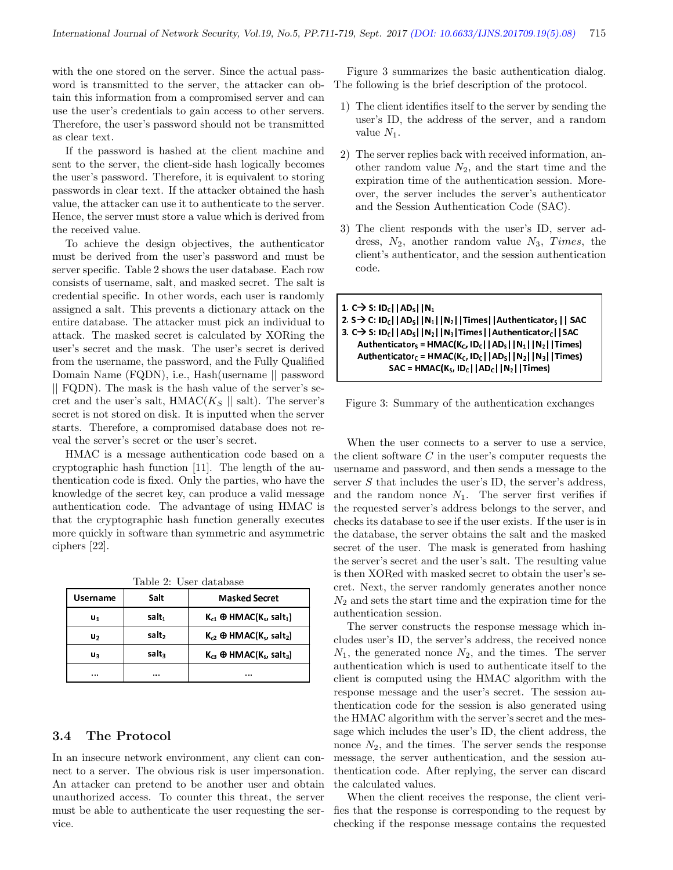with the one stored on the server. Since the actual password is transmitted to the server, the attacker can obtain this information from a compromised server and can use the user's credentials to gain access to other servers. Therefore, the user's password should not be transmitted as clear text.

If the password is hashed at the client machine and sent to the server, the client-side hash logically becomes the user's password. Therefore, it is equivalent to storing passwords in clear text. If the attacker obtained the hash value, the attacker can use it to authenticate to the server. Hence, the server must store a value which is derived from the received value.

To achieve the design objectives, the authenticator must be derived from the user's password and must be server specific. Table 2 shows the user database. Each row consists of username, salt, and masked secret. The salt is credential specific. In other words, each user is randomly assigned a salt. This prevents a dictionary attack on the entire database. The attacker must pick an individual to attack. The masked secret is calculated by XORing the user's secret and the mask. The user's secret is derived from the username, the password, and the Fully Qualified Domain Name (FQDN), i.e., Hash(username || password || FQDN). The mask is the hash value of the server's secret and the user's salt,  $HMAC(K_S || salt)$ . The server's secret is not stored on disk. It is inputted when the server starts. Therefore, a compromised database does not reveal the server's secret or the user's secret.

HMAC is a message authentication code based on a cryptographic hash function [11]. The length of the authentication code is fixed. Only the parties, who have the knowledge of the secret key, can produce a valid message authentication code. The advantage of using HMAC is that the cryptographic hash function generally executes more quickly in software than symmetric and asymmetric ciphers [22].

|  | Table 2: User database |  |
|--|------------------------|--|
|  |                        |  |

| <b>Username</b> | Salt              | <b>Masked Secret</b>              |
|-----------------|-------------------|-----------------------------------|
| u,              | salt <sub>1</sub> | $K_{c1} \oplus HMAC(K_s, salt_1)$ |
| u,              | salt,             | $K_{c2} \oplus HMAC(K_s, salt_2)$ |
| uз              | salt.             | $K_{c3} \oplus HMAC(K_s, salt_3)$ |
|                 |                   |                                   |

#### 3.4 The Protocol

In an insecure network environment, any client can connect to a server. The obvious risk is user impersonation. An attacker can pretend to be another user and obtain unauthorized access. To counter this threat, the server must be able to authenticate the user requesting the service.

Figure 3 summarizes the basic authentication dialog. The following is the brief description of the protocol.

- 1) The client identifies itself to the server by sending the user's ID, the address of the server, and a random value  $N_1$ .
- 2) The server replies back with received information, another random value  $N_2$ , and the start time and the expiration time of the authentication session. Moreover, the server includes the server's authenticator and the Session Authentication Code (SAC).
- 3) The client responds with the user's ID, server address,  $N_2$ , another random value  $N_3$ , Times, the client's authenticator, and the session authentication code.

```
1. C \rightarrow S: |D_C| |AD_S| |N_1
```

```
2. S → C: ID<sub>C</sub>||AD<sub>S</sub>||N<sub>1</sub>||N<sub>2</sub>||Times||Authenticator<sub>s</sub>|| SAC
3. C\rightarrow S: ID<sub>C</sub>||AD<sub>S</sub>||N<sub>2</sub>||N<sub>3</sub>|Times||Authenticator<sub>c</sub>||SAC
      Authenticator<sub>s</sub> = HMAC(K_c, ID_c | |AD_s| |N_1| |N_2| |Times)Authenticator_c = HMAC(K_c, ID_c||AD_s||N_2||N_3||Times)
                   SAC = HMAC(K<sub>S</sub>, ID<sub>C</sub> | AD<sub>C</sub> | N<sub>2</sub> | Times)
```
Figure 3: Summary of the authentication exchanges

When the user connects to a server to use a service, the client software  $C$  in the user's computer requests the username and password, and then sends a message to the server  $S$  that includes the user's ID, the server's address, and the random nonce  $N_1$ . The server first verifies if the requested server's address belongs to the server, and checks its database to see if the user exists. If the user is in the database, the server obtains the salt and the masked secret of the user. The mask is generated from hashing the server's secret and the user's salt. The resulting value is then XORed with masked secret to obtain the user's secret. Next, the server randomly generates another nonce  $N_2$  and sets the start time and the expiration time for the authentication session.

The server constructs the response message which includes user's ID, the server's address, the received nonce  $N_1$ , the generated nonce  $N_2$ , and the times. The server authentication which is used to authenticate itself to the client is computed using the HMAC algorithm with the response message and the user's secret. The session authentication code for the session is also generated using the HMAC algorithm with the server's secret and the message which includes the user's ID, the client address, the nonce  $N_2$ , and the times. The server sends the response message, the server authentication, and the session authentication code. After replying, the server can discard the calculated values.

When the client receives the response, the client verifies that the response is corresponding to the request by checking if the response message contains the requested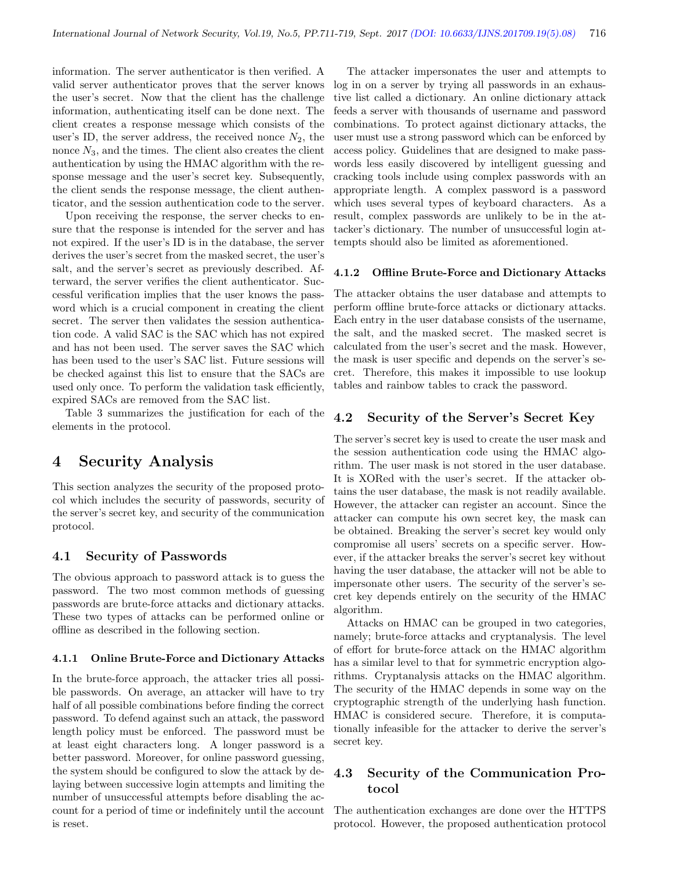information. The server authenticator is then verified. A valid server authenticator proves that the server knows the user's secret. Now that the client has the challenge information, authenticating itself can be done next. The client creates a response message which consists of the user's ID, the server address, the received nonce  $N_2$ , the nonce  $N_3$ , and the times. The client also creates the client authentication by using the HMAC algorithm with the response message and the user's secret key. Subsequently, the client sends the response message, the client authenticator, and the session authentication code to the server.

Upon receiving the response, the server checks to ensure that the response is intended for the server and has not expired. If the user's ID is in the database, the server derives the user's secret from the masked secret, the user's salt, and the server's secret as previously described. Afterward, the server verifies the client authenticator. Successful verification implies that the user knows the password which is a crucial component in creating the client secret. The server then validates the session authentication code. A valid SAC is the SAC which has not expired and has not been used. The server saves the SAC which has been used to the user's SAC list. Future sessions will be checked against this list to ensure that the SACs are used only once. To perform the validation task efficiently, expired SACs are removed from the SAC list.

Table 3 summarizes the justification for each of the elements in the protocol.

## 4 Security Analysis

This section analyzes the security of the proposed protocol which includes the security of passwords, security of the server's secret key, and security of the communication protocol.

#### 4.1 Security of Passwords

The obvious approach to password attack is to guess the password. The two most common methods of guessing passwords are brute-force attacks and dictionary attacks. These two types of attacks can be performed online or offline as described in the following section.

#### 4.1.1 Online Brute-Force and Dictionary Attacks

In the brute-force approach, the attacker tries all possible passwords. On average, an attacker will have to try half of all possible combinations before finding the correct password. To defend against such an attack, the password length policy must be enforced. The password must be at least eight characters long. A longer password is a better password. Moreover, for online password guessing, the system should be configured to slow the attack by delaying between successive login attempts and limiting the number of unsuccessful attempts before disabling the account for a period of time or indefinitely until the account is reset.

The attacker impersonates the user and attempts to log in on a server by trying all passwords in an exhaustive list called a dictionary. An online dictionary attack feeds a server with thousands of username and password combinations. To protect against dictionary attacks, the user must use a strong password which can be enforced by access policy. Guidelines that are designed to make passwords less easily discovered by intelligent guessing and cracking tools include using complex passwords with an appropriate length. A complex password is a password which uses several types of keyboard characters. As a result, complex passwords are unlikely to be in the attacker's dictionary. The number of unsuccessful login attempts should also be limited as aforementioned.

#### 4.1.2 Offline Brute-Force and Dictionary Attacks

The attacker obtains the user database and attempts to perform offline brute-force attacks or dictionary attacks. Each entry in the user database consists of the username, the salt, and the masked secret. The masked secret is calculated from the user's secret and the mask. However, the mask is user specific and depends on the server's secret. Therefore, this makes it impossible to use lookup tables and rainbow tables to crack the password.

#### 4.2 Security of the Server's Secret Key

The server's secret key is used to create the user mask and the session authentication code using the HMAC algorithm. The user mask is not stored in the user database. It is XORed with the user's secret. If the attacker obtains the user database, the mask is not readily available. However, the attacker can register an account. Since the attacker can compute his own secret key, the mask can be obtained. Breaking the server's secret key would only compromise all users' secrets on a specific server. However, if the attacker breaks the server's secret key without having the user database, the attacker will not be able to impersonate other users. The security of the server's secret key depends entirely on the security of the HMAC algorithm.

Attacks on HMAC can be grouped in two categories, namely; brute-force attacks and cryptanalysis. The level of effort for brute-force attack on the HMAC algorithm has a similar level to that for symmetric encryption algorithms. Cryptanalysis attacks on the HMAC algorithm. The security of the HMAC depends in some way on the cryptographic strength of the underlying hash function. HMAC is considered secure. Therefore, it is computationally infeasible for the attacker to derive the server's secret key.

### 4.3 Security of the Communication Protocol

The authentication exchanges are done over the HTTPS protocol. However, the proposed authentication protocol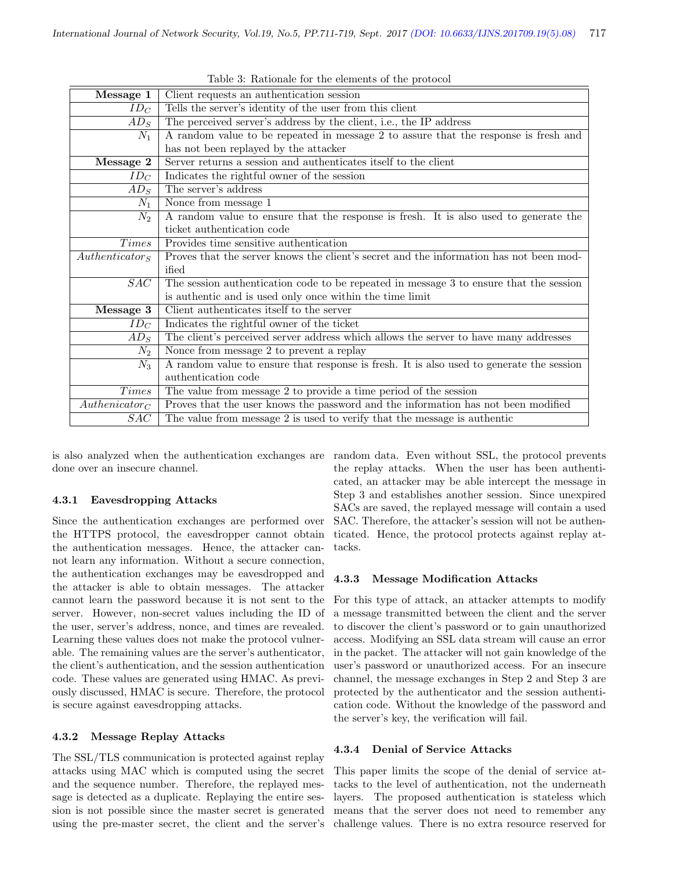| Message 1                   | Client requests an authentication session                                                |  |  |
|-----------------------------|------------------------------------------------------------------------------------------|--|--|
| $ID_C$                      | Tells the server's identity of the user from this client                                 |  |  |
| $AD_S$                      | The perceived server's address by the client, i.e., the IP address                       |  |  |
| $N_1$                       | A random value to be repeated in message 2 to assure that the response is fresh and      |  |  |
|                             | has not been replayed by the attacker                                                    |  |  |
| Message 2                   | Server returns a session and authenticates itself to the client                          |  |  |
| $ID_C$                      | Indicates the rightful owner of the session                                              |  |  |
| $AD_S$                      | The server's address                                                                     |  |  |
| $N_1$                       | Nonce from message 1                                                                     |  |  |
| $N_2$                       | A random value to ensure that the response is fresh. It is also used to generate the     |  |  |
|                             | ticket authentication code                                                               |  |  |
| <i>Times</i>                | Provides time sensitive authentication                                                   |  |  |
| Authentication <sub>S</sub> | Proves that the server knows the client's secret and the information has not been mod-   |  |  |
|                             | ified                                                                                    |  |  |
| SAC                         | The session authentication code to be repeated in message 3 to ensure that the session   |  |  |
|                             | is authentic and is used only once within the time limit                                 |  |  |
| Message 3                   | Client authenticates itself to the server                                                |  |  |
| $ID_C$                      | Indicates the rightful owner of the ticket                                               |  |  |
| $AD_S$                      | The client's perceived server address which allows the server to have many addresses     |  |  |
| $N_2$                       | Nonce from message 2 to prevent a replay                                                 |  |  |
| $N_3$                       | A random value to ensure that response is fresh. It is also used to generate the session |  |  |
|                             | authentication code                                                                      |  |  |
| Times                       | The value from message 2 to provide a time period of the session                         |  |  |
| $Authoricator_C$            | Proves that the user knows the password and the information has not been modified        |  |  |
| SAC                         | The value from message 2 is used to verify that the message is authentic                 |  |  |

Table 3: Rationale for the elements of the protocol

is also analyzed when the authentication exchanges are done over an insecure channel.

#### 4.3.1 Eavesdropping Attacks

Since the authentication exchanges are performed over the HTTPS protocol, the eavesdropper cannot obtain the authentication messages. Hence, the attacker cannot learn any information. Without a secure connection, the authentication exchanges may be eavesdropped and the attacker is able to obtain messages. The attacker cannot learn the password because it is not sent to the server. However, non-secret values including the ID of the user, server's address, nonce, and times are revealed. Learning these values does not make the protocol vulnerable. The remaining values are the server's authenticator, the client's authentication, and the session authentication code. These values are generated using HMAC. As previously discussed, HMAC is secure. Therefore, the protocol is secure against eavesdropping attacks.

#### 4.3.2 Message Replay Attacks

The SSL/TLS communication is protected against replay attacks using MAC which is computed using the secret and the sequence number. Therefore, the replayed message is detected as a duplicate. Replaying the entire session is not possible since the master secret is generated using the pre-master secret, the client and the server's

random data. Even without SSL, the protocol prevents the replay attacks. When the user has been authenticated, an attacker may be able intercept the message in Step 3 and establishes another session. Since unexpired SACs are saved, the replayed message will contain a used SAC. Therefore, the attacker's session will not be authenticated. Hence, the protocol protects against replay attacks.

#### 4.3.3 Message Modification Attacks

For this type of attack, an attacker attempts to modify a message transmitted between the client and the server to discover the client's password or to gain unauthorized access. Modifying an SSL data stream will cause an error in the packet. The attacker will not gain knowledge of the user's password or unauthorized access. For an insecure channel, the message exchanges in Step 2 and Step 3 are protected by the authenticator and the session authentication code. Without the knowledge of the password and the server's key, the verification will fail.

#### 4.3.4 Denial of Service Attacks

This paper limits the scope of the denial of service attacks to the level of authentication, not the underneath layers. The proposed authentication is stateless which means that the server does not need to remember any challenge values. There is no extra resource reserved for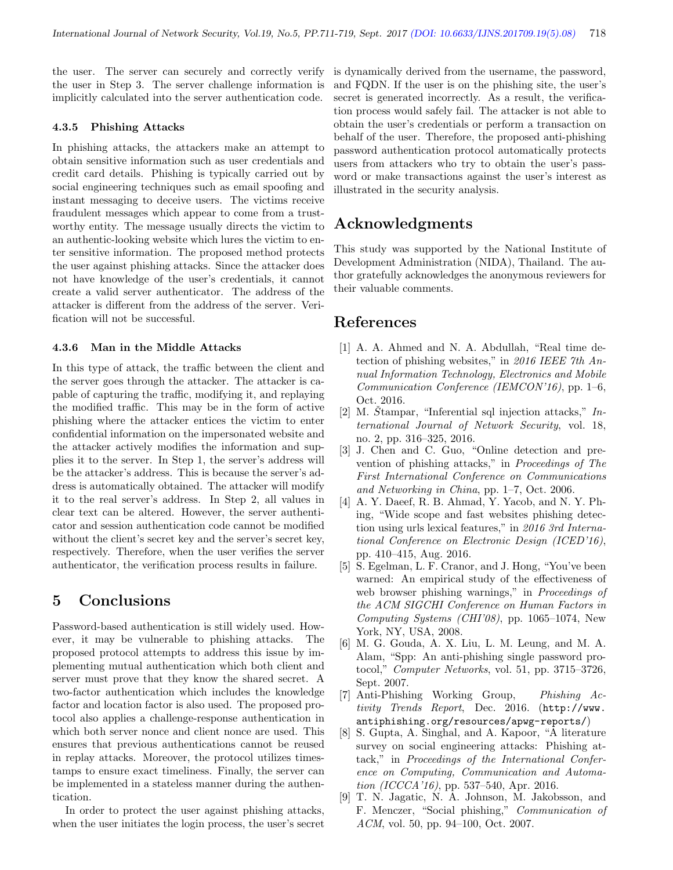the user. The server can securely and correctly verify the user in Step 3. The server challenge information is implicitly calculated into the server authentication code.

#### 4.3.5 Phishing Attacks

In phishing attacks, the attackers make an attempt to obtain sensitive information such as user credentials and credit card details. Phishing is typically carried out by social engineering techniques such as email spoofing and instant messaging to deceive users. The victims receive fraudulent messages which appear to come from a trustworthy entity. The message usually directs the victim to an authentic-looking website which lures the victim to enter sensitive information. The proposed method protects the user against phishing attacks. Since the attacker does not have knowledge of the user's credentials, it cannot create a valid server authenticator. The address of the attacker is different from the address of the server. Verification will not be successful.

#### 4.3.6 Man in the Middle Attacks

In this type of attack, the traffic between the client and the server goes through the attacker. The attacker is capable of capturing the traffic, modifying it, and replaying the modified traffic. This may be in the form of active phishing where the attacker entices the victim to enter confidential information on the impersonated website and the attacker actively modifies the information and supplies it to the server. In Step 1, the server's address will be the attacker's address. This is because the server's address is automatically obtained. The attacker will modify it to the real server's address. In Step 2, all values in clear text can be altered. However, the server authenticator and session authentication code cannot be modified without the client's secret key and the server's secret key, respectively. Therefore, when the user verifies the server authenticator, the verification process results in failure.

# 5 Conclusions

Password-based authentication is still widely used. However, it may be vulnerable to phishing attacks. The proposed protocol attempts to address this issue by implementing mutual authentication which both client and server must prove that they know the shared secret. A two-factor authentication which includes the knowledge factor and location factor is also used. The proposed protocol also applies a challenge-response authentication in which both server nonce and client nonce are used. This ensures that previous authentications cannot be reused in replay attacks. Moreover, the protocol utilizes timestamps to ensure exact timeliness. Finally, the server can be implemented in a stateless manner during the authentication.

In order to protect the user against phishing attacks, when the user initiates the login process, the user's secret is dynamically derived from the username, the password, and FQDN. If the user is on the phishing site, the user's secret is generated incorrectly. As a result, the verification process would safely fail. The attacker is not able to obtain the user's credentials or perform a transaction on behalf of the user. Therefore, the proposed anti-phishing password authentication protocol automatically protects users from attackers who try to obtain the user's password or make transactions against the user's interest as illustrated in the security analysis.

# Acknowledgments

This study was supported by the National Institute of Development Administration (NIDA), Thailand. The author gratefully acknowledges the anonymous reviewers for their valuable comments.

## References

- [1] A. A. Ahmed and N. A. Abdullah, "Real time detection of phishing websites," in 2016 IEEE 7th  $An$ nual Information Technology, Electronics and Mobile Communication Conference (IEMCON'16), pp. 1–6, Oct. 2016.
- [2] M. Stampar, "Inferential sql injection attacks,"  $In$ ternational Journal of Network Security, vol. 18, no. 2, pp. 316–325, 2016.
- [3] J. Chen and C. Guo, "Online detection and prevention of phishing attacks," in Proceedings of The First International Conference on Communications and Networking in China, pp. 1–7, Oct. 2006.
- [4] A. Y. Daeef, R. B. Ahmad, Y. Yacob, and N. Y. Phing, "Wide scope and fast websites phishing detection using urls lexical features," in 2016 3rd International Conference on Electronic Design (ICED'16), pp. 410–415, Aug. 2016.
- [5] S. Egelman, L. F. Cranor, and J. Hong, "You've been warned: An empirical study of the effectiveness of web browser phishing warnings," in Proceedings of the ACM SIGCHI Conference on Human Factors in Computing Systems (CHI'08), pp. 1065–1074, New York, NY, USA, 2008.
- [6] M. G. Gouda, A. X. Liu, L. M. Leung, and M. A. Alam, "Spp: An anti-phishing single password protocol," Computer Networks, vol. 51, pp. 3715–3726, Sept. 2007.
- [7] Anti-Phishing Working Group, Phishing Activity Trends Report, Dec. 2016. (http://www. antiphishing.org/resources/apwg-reports/)
- [8] S. Gupta, A. Singhal, and A. Kapoor, "A literature survey on social engineering attacks: Phishing attack," in Proceedings of the International Conference on Computing, Communication and Automation (ICCCA'16), pp. 537–540, Apr. 2016.
- [9] T. N. Jagatic, N. A. Johnson, M. Jakobsson, and F. Menczer, "Social phishing," Communication of ACM, vol. 50, pp. 94–100, Oct. 2007.